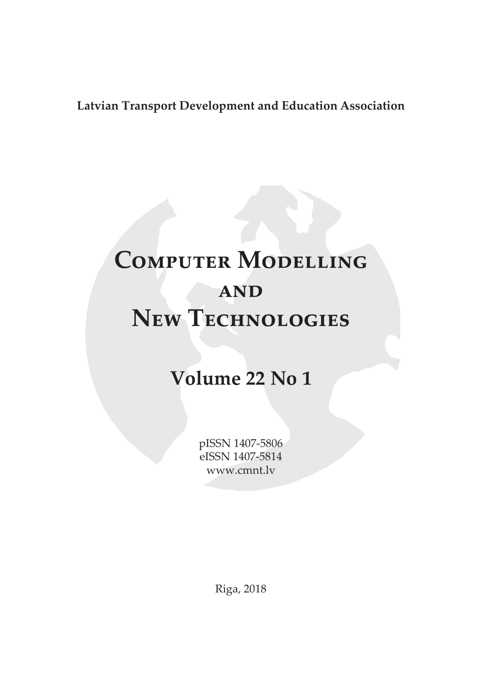## **Latvian Transport Development and Education Association**

## **Computer Modelling and New Technologies**

## **Volume 22 No 1**

pISSN 1407-5806 eISSN 1407-5814 www.cmnt.lv

Riga, 2018